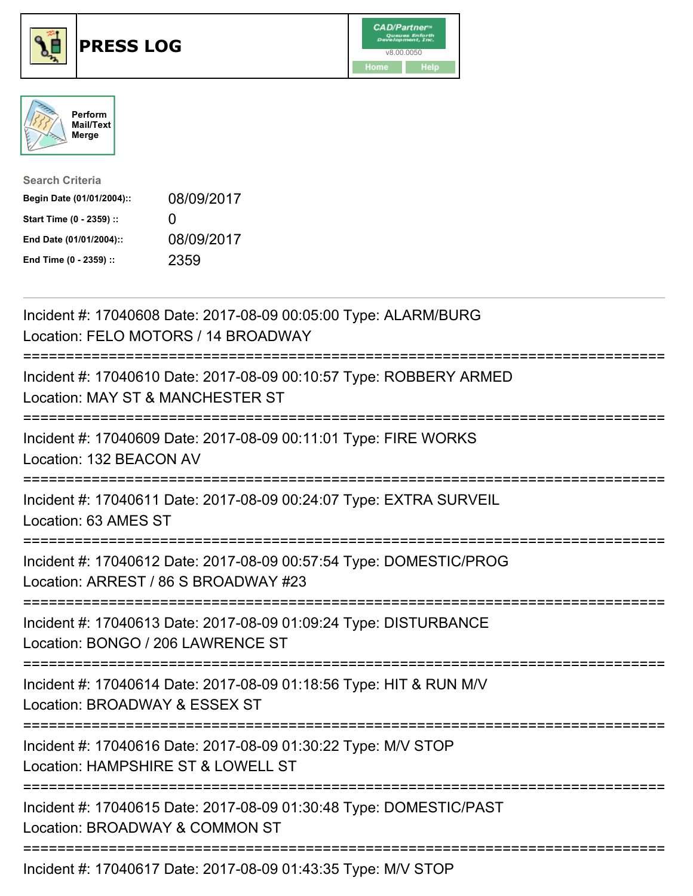





| <b>Search Criteria</b>    |              |
|---------------------------|--------------|
| Begin Date (01/01/2004):: | 08/09/2017   |
| Start Time (0 - 2359) ::  | $\mathbf{I}$ |
| End Date (01/01/2004)::   | 08/09/2017   |
| End Time (0 - 2359) ::    | 2359         |

| Incident #: 17040608 Date: 2017-08-09 00:05:00 Type: ALARM/BURG<br>Location: FELO MOTORS / 14 BROADWAY                                     |
|--------------------------------------------------------------------------------------------------------------------------------------------|
| Incident #: 17040610 Date: 2017-08-09 00:10:57 Type: ROBBERY ARMED<br>Location: MAY ST & MANCHESTER ST                                     |
| Incident #: 17040609 Date: 2017-08-09 00:11:01 Type: FIRE WORKS<br>Location: 132 BEACON AV<br>:=================                           |
| Incident #: 17040611 Date: 2017-08-09 00:24:07 Type: EXTRA SURVEIL<br>Location: 63 AMES ST<br>===================                          |
| Incident #: 17040612 Date: 2017-08-09 00:57:54 Type: DOMESTIC/PROG<br>Location: ARREST / 86 S BROADWAY #23<br>---------------------------- |
| Incident #: 17040613 Date: 2017-08-09 01:09:24 Type: DISTURBANCE<br>Location: BONGO / 206 LAWRENCE ST<br>:=========================        |
| Incident #: 17040614 Date: 2017-08-09 01:18:56 Type: HIT & RUN M/V<br>Location: BROADWAY & ESSEX ST                                        |
| Incident #: 17040616 Date: 2017-08-09 01:30:22 Type: M/V STOP<br>Location: HAMPSHIRE ST & LOWELL ST                                        |
| Incident #: 17040615 Date: 2017-08-09 01:30:48 Type: DOMESTIC/PAST<br>Location: BROADWAY & COMMON ST                                       |
| ==============================<br>Incident #: 17040617 Date: 2017-08-09 01:43:35 Type: M/V STOP                                            |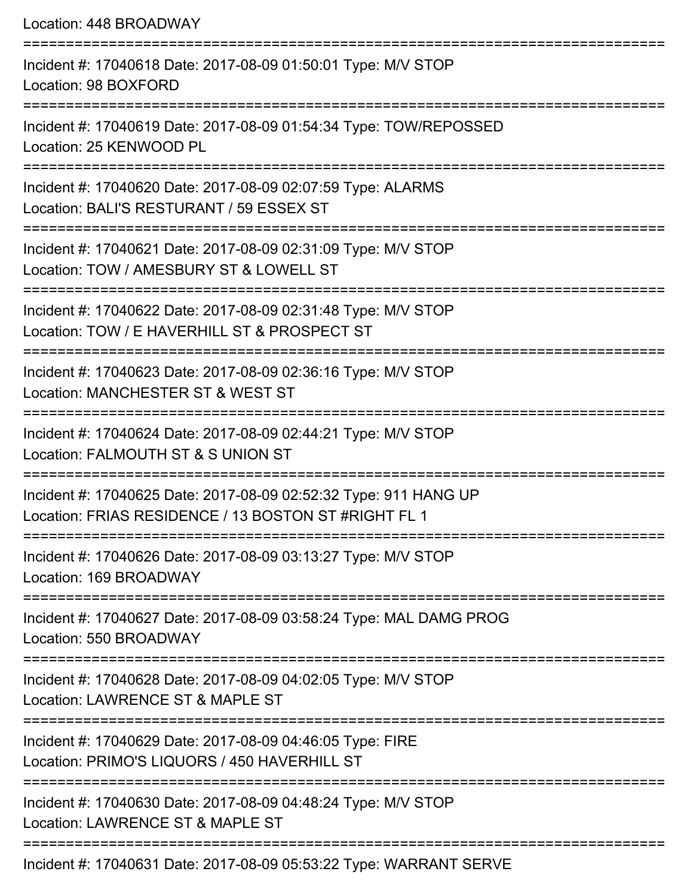Location: 448 BROADWAY

| Incident #: 17040618 Date: 2017-08-09 01:50:01 Type: M/V STOP<br>Location: 98 BOXFORD                                    |
|--------------------------------------------------------------------------------------------------------------------------|
| Incident #: 17040619 Date: 2017-08-09 01:54:34 Type: TOW/REPOSSED<br>Location: 25 KENWOOD PL                             |
| Incident #: 17040620 Date: 2017-08-09 02:07:59 Type: ALARMS<br>Location: BALI'S RESTURANT / 59 ESSEX ST                  |
| Incident #: 17040621 Date: 2017-08-09 02:31:09 Type: M/V STOP<br>Location: TOW / AMESBURY ST & LOWELL ST                 |
| Incident #: 17040622 Date: 2017-08-09 02:31:48 Type: M/V STOP<br>Location: TOW / E HAVERHILL ST & PROSPECT ST            |
| Incident #: 17040623 Date: 2017-08-09 02:36:16 Type: M/V STOP<br>Location: MANCHESTER ST & WEST ST                       |
| Incident #: 17040624 Date: 2017-08-09 02:44:21 Type: M/V STOP<br>Location: FALMOUTH ST & S UNION ST                      |
| Incident #: 17040625 Date: 2017-08-09 02:52:32 Type: 911 HANG UP<br>Location: FRIAS RESIDENCE / 13 BOSTON ST #RIGHT FL 1 |
| Incident #: 17040626 Date: 2017-08-09 03:13:27 Type: M/V STOP<br>Location: 169 BROADWAY                                  |
| Incident #: 17040627 Date: 2017-08-09 03:58:24 Type: MAL DAMG PROG<br>Location: 550 BROADWAY                             |
| Incident #: 17040628 Date: 2017-08-09 04:02:05 Type: M/V STOP<br>Location: LAWRENCE ST & MAPLE ST                        |
| Incident #: 17040629 Date: 2017-08-09 04:46:05 Type: FIRE<br>Location: PRIMO'S LIQUORS / 450 HAVERHILL ST                |
| Incident #: 17040630 Date: 2017-08-09 04:48:24 Type: M/V STOP<br>Location: LAWRENCE ST & MAPLE ST                        |
| Incident #: 17040631 Date: 2017-08-09 05:53:22 Type: WARRANT SERVE                                                       |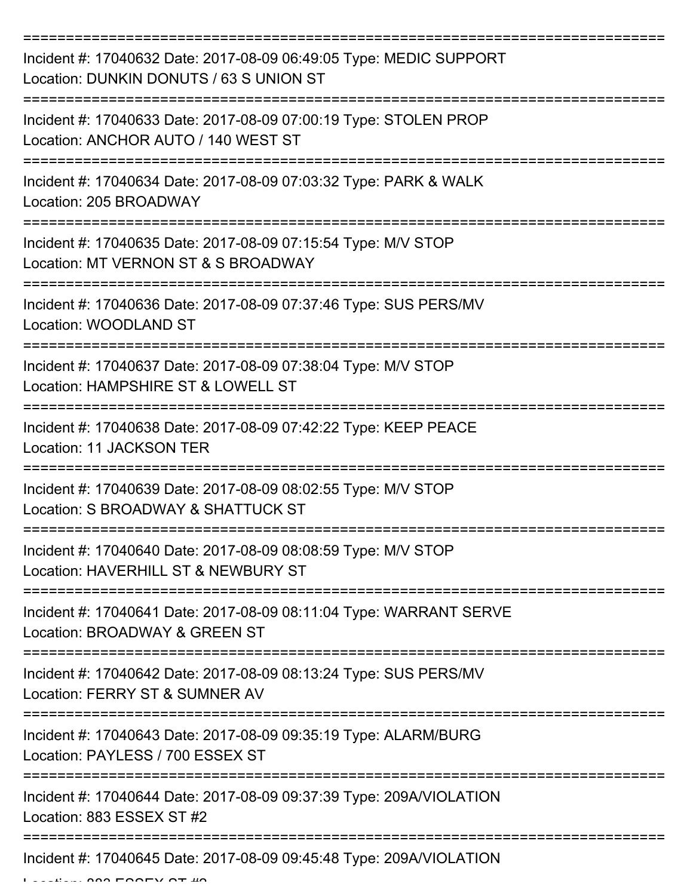| Incident #: 17040632 Date: 2017-08-09 06:49:05 Type: MEDIC SUPPORT<br>Location: DUNKIN DONUTS / 63 S UNION ST |
|---------------------------------------------------------------------------------------------------------------|
| Incident #: 17040633 Date: 2017-08-09 07:00:19 Type: STOLEN PROP<br>Location: ANCHOR AUTO / 140 WEST ST       |
| Incident #: 17040634 Date: 2017-08-09 07:03:32 Type: PARK & WALK<br>Location: 205 BROADWAY                    |
| Incident #: 17040635 Date: 2017-08-09 07:15:54 Type: M/V STOP<br>Location: MT VERNON ST & S BROADWAY          |
| Incident #: 17040636 Date: 2017-08-09 07:37:46 Type: SUS PERS/MV<br>Location: WOODLAND ST                     |
| Incident #: 17040637 Date: 2017-08-09 07:38:04 Type: M/V STOP<br>Location: HAMPSHIRE ST & LOWELL ST           |
| Incident #: 17040638 Date: 2017-08-09 07:42:22 Type: KEEP PEACE<br><b>Location: 11 JACKSON TER</b>            |
| Incident #: 17040639 Date: 2017-08-09 08:02:55 Type: M/V STOP<br>Location: S BROADWAY & SHATTUCK ST           |
| Incident #: 17040640 Date: 2017-08-09 08:08:59 Type: M/V STOP<br>Location: HAVERHILL ST & NEWBURY ST          |
| Incident #: 17040641 Date: 2017-08-09 08:11:04 Type: WARRANT SERVE<br>Location: BROADWAY & GREEN ST           |
| Incident #: 17040642 Date: 2017-08-09 08:13:24 Type: SUS PERS/MV<br>Location: FERRY ST & SUMNER AV            |
| Incident #: 17040643 Date: 2017-08-09 09:35:19 Type: ALARM/BURG<br>Location: PAYLESS / 700 ESSEX ST           |
| Incident #: 17040644 Date: 2017-08-09 09:37:39 Type: 209A/VIOLATION<br>Location: 883 ESSEX ST #2              |
| Incident #: 17040645 Date: 2017-08-09 09:45:48 Type: 209A/VIOLATION                                           |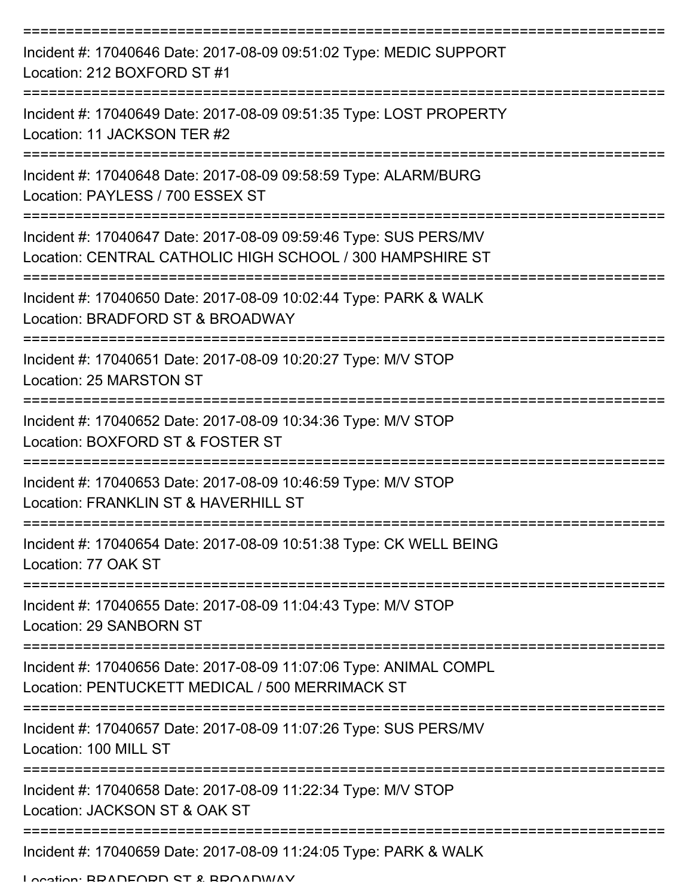| Incident #: 17040646 Date: 2017-08-09 09:51:02 Type: MEDIC SUPPORT<br>Location: 212 BOXFORD ST #1                                               |
|-------------------------------------------------------------------------------------------------------------------------------------------------|
| Incident #: 17040649 Date: 2017-08-09 09:51:35 Type: LOST PROPERTY<br>Location: 11 JACKSON TER #2                                               |
| Incident #: 17040648 Date: 2017-08-09 09:58:59 Type: ALARM/BURG<br>Location: PAYLESS / 700 ESSEX ST                                             |
| Incident #: 17040647 Date: 2017-08-09 09:59:46 Type: SUS PERS/MV<br>Location: CENTRAL CATHOLIC HIGH SCHOOL / 300 HAMPSHIRE ST                   |
| Incident #: 17040650 Date: 2017-08-09 10:02:44 Type: PARK & WALK<br>Location: BRADFORD ST & BROADWAY<br>===================                     |
| Incident #: 17040651 Date: 2017-08-09 10:20:27 Type: M/V STOP<br>Location: 25 MARSTON ST                                                        |
| Incident #: 17040652 Date: 2017-08-09 10:34:36 Type: M/V STOP<br>Location: BOXFORD ST & FOSTER ST                                               |
| Incident #: 17040653 Date: 2017-08-09 10:46:59 Type: M/V STOP<br>Location: FRANKLIN ST & HAVERHILL ST                                           |
| Incident #: 17040654 Date: 2017-08-09 10:51:38 Type: CK WELL BEING<br>Location: 77 OAK ST                                                       |
| Incident #: 17040655 Date: 2017-08-09 11:04:43 Type: M/V STOP<br>Location: 29 SANBORN ST                                                        |
| =======================<br>Incident #: 17040656 Date: 2017-08-09 11:07:06 Type: ANIMAL COMPL<br>Location: PENTUCKETT MEDICAL / 500 MERRIMACK ST |
| Incident #: 17040657 Date: 2017-08-09 11:07:26 Type: SUS PERS/MV<br>Location: 100 MILL ST                                                       |
| Incident #: 17040658 Date: 2017-08-09 11:22:34 Type: M/V STOP<br>Location: JACKSON ST & OAK ST                                                  |
| Incident #: 17040659 Date: 2017-08-09 11:24:05 Type: PARK & WALK                                                                                |

Location: BRADFORD ST & BROADWAY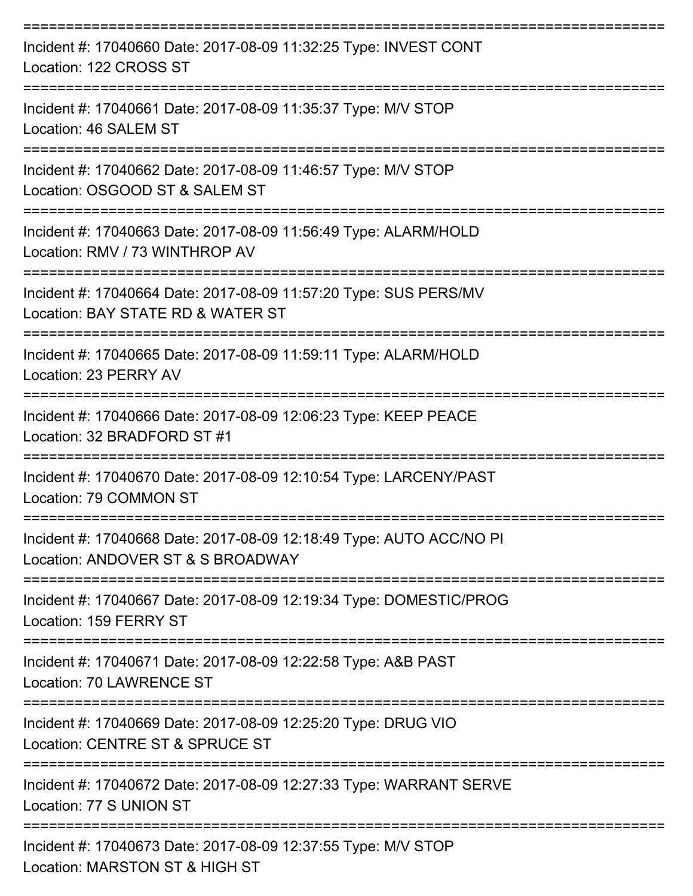| Incident #: 17040660 Date: 2017-08-09 11:32:25 Type: INVEST CONT<br>Location: 122 CROSS ST               |
|----------------------------------------------------------------------------------------------------------|
| Incident #: 17040661 Date: 2017-08-09 11:35:37 Type: M/V STOP<br>Location: 46 SALEM ST                   |
| Incident #: 17040662 Date: 2017-08-09 11:46:57 Type: M/V STOP<br>Location: OSGOOD ST & SALEM ST          |
| Incident #: 17040663 Date: 2017-08-09 11:56:49 Type: ALARM/HOLD<br>Location: RMV / 73 WINTHROP AV        |
| Incident #: 17040664 Date: 2017-08-09 11:57:20 Type: SUS PERS/MV<br>Location: BAY STATE RD & WATER ST    |
| Incident #: 17040665 Date: 2017-08-09 11:59:11 Type: ALARM/HOLD<br>Location: 23 PERRY AV                 |
| Incident #: 17040666 Date: 2017-08-09 12:06:23 Type: KEEP PEACE<br>Location: 32 BRADFORD ST #1           |
| Incident #: 17040670 Date: 2017-08-09 12:10:54 Type: LARCENY/PAST<br>Location: 79 COMMON ST              |
| Incident #: 17040668 Date: 2017-08-09 12:18:49 Type: AUTO ACC/NO PI<br>Location: ANDOVER ST & S BROADWAY |
| Incident #: 17040667 Date: 2017-08-09 12:19:34 Type: DOMESTIC/PROG<br>Location: 159 FERRY ST             |
| Incident #: 17040671 Date: 2017-08-09 12:22:58 Type: A&B PAST<br>Location: 70 LAWRENCE ST                |
| Incident #: 17040669 Date: 2017-08-09 12:25:20 Type: DRUG VIO<br>Location: CENTRE ST & SPRUCE ST         |
| Incident #: 17040672 Date: 2017-08-09 12:27:33 Type: WARRANT SERVE<br>Location: 77 S UNION ST            |
| Incident #: 17040673 Date: 2017-08-09 12:37:55 Type: M/V STOP<br>Location: MARSTON ST & HIGH ST          |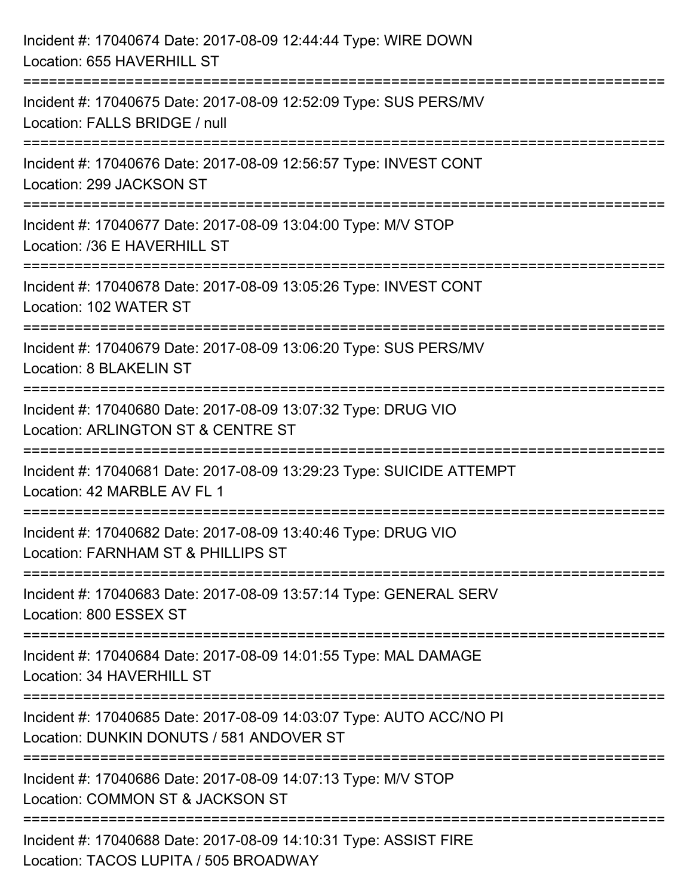| Incident #: 17040674 Date: 2017-08-09 12:44:44 Type: WIRE DOWN<br>Location: 655 HAVERHILL ST                    |
|-----------------------------------------------------------------------------------------------------------------|
| Incident #: 17040675 Date: 2017-08-09 12:52:09 Type: SUS PERS/MV<br>Location: FALLS BRIDGE / null               |
| Incident #: 17040676 Date: 2017-08-09 12:56:57 Type: INVEST CONT<br>Location: 299 JACKSON ST                    |
| Incident #: 17040677 Date: 2017-08-09 13:04:00 Type: M/V STOP<br>Location: /36 E HAVERHILL ST                   |
| Incident #: 17040678 Date: 2017-08-09 13:05:26 Type: INVEST CONT<br>Location: 102 WATER ST                      |
| Incident #: 17040679 Date: 2017-08-09 13:06:20 Type: SUS PERS/MV<br>Location: 8 BLAKELIN ST                     |
| Incident #: 17040680 Date: 2017-08-09 13:07:32 Type: DRUG VIO<br>Location: ARLINGTON ST & CENTRE ST             |
| Incident #: 17040681 Date: 2017-08-09 13:29:23 Type: SUICIDE ATTEMPT<br>Location: 42 MARBLE AV FL 1             |
| Incident #: 17040682 Date: 2017-08-09 13:40:46 Type: DRUG VIO<br>Location: FARNHAM ST & PHILLIPS ST             |
| Incident #: 17040683 Date: 2017-08-09 13:57:14 Type: GENERAL SERV<br>Location: 800 ESSEX ST                     |
| Incident #: 17040684 Date: 2017-08-09 14:01:55 Type: MAL DAMAGE<br>Location: 34 HAVERHILL ST                    |
| Incident #: 17040685 Date: 2017-08-09 14:03:07 Type: AUTO ACC/NO PI<br>Location: DUNKIN DONUTS / 581 ANDOVER ST |
| Incident #: 17040686 Date: 2017-08-09 14:07:13 Type: M/V STOP<br>Location: COMMON ST & JACKSON ST               |
| Incident #: 17040688 Date: 2017-08-09 14:10:31 Type: ASSIST FIRE<br>Location: TACOS LUPITA / 505 BROADWAY       |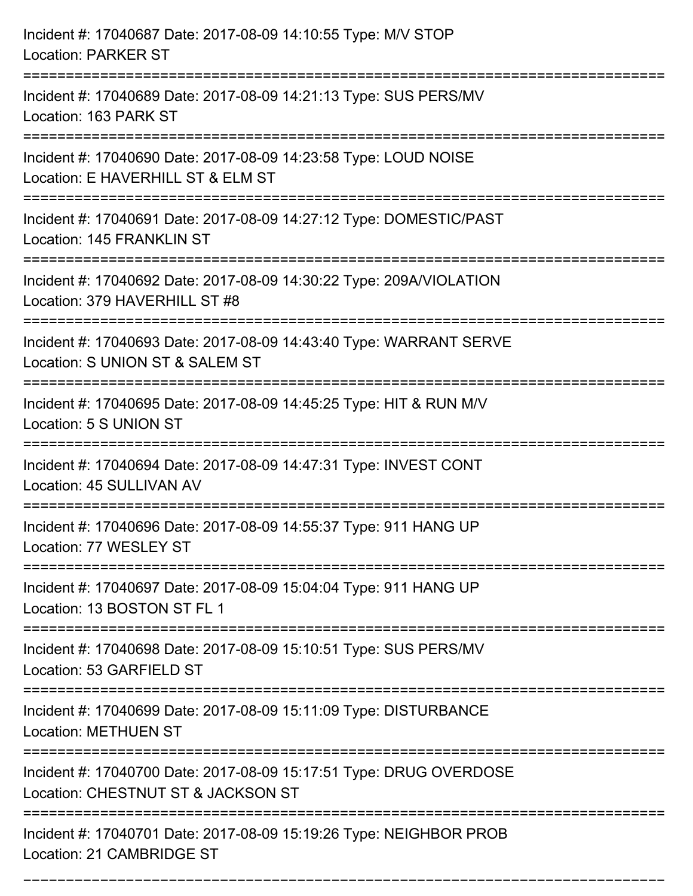| Incident #: 17040687 Date: 2017-08-09 14:10:55 Type: M/V STOP<br><b>Location: PARKER ST</b>                                                 |
|---------------------------------------------------------------------------------------------------------------------------------------------|
| Incident #: 17040689 Date: 2017-08-09 14:21:13 Type: SUS PERS/MV<br>Location: 163 PARK ST                                                   |
| Incident #: 17040690 Date: 2017-08-09 14:23:58 Type: LOUD NOISE<br>Location: E HAVERHILL ST & ELM ST<br>=================================== |
| Incident #: 17040691 Date: 2017-08-09 14:27:12 Type: DOMESTIC/PAST<br>Location: 145 FRANKLIN ST                                             |
| Incident #: 17040692 Date: 2017-08-09 14:30:22 Type: 209A/VIOLATION<br>Location: 379 HAVERHILL ST #8<br>------------------------------      |
| Incident #: 17040693 Date: 2017-08-09 14:43:40 Type: WARRANT SERVE<br>Location: S UNION ST & SALEM ST                                       |
| Incident #: 17040695 Date: 2017-08-09 14:45:25 Type: HIT & RUN M/V<br>Location: 5 S UNION ST                                                |
| Incident #: 17040694 Date: 2017-08-09 14:47:31 Type: INVEST CONT<br>Location: 45 SULLIVAN AV                                                |
| Incident #: 17040696 Date: 2017-08-09 14:55:37 Type: 911 HANG UP<br>Location: 77 WESLEY ST                                                  |
| Incident #: 17040697 Date: 2017-08-09 15:04:04 Type: 911 HANG UP<br>Location: 13 BOSTON ST FL 1                                             |
| Incident #: 17040698 Date: 2017-08-09 15:10:51 Type: SUS PERS/MV<br>Location: 53 GARFIELD ST                                                |
| Incident #: 17040699 Date: 2017-08-09 15:11:09 Type: DISTURBANCE<br><b>Location: METHUEN ST</b>                                             |
| Incident #: 17040700 Date: 2017-08-09 15:17:51 Type: DRUG OVERDOSE<br>Location: CHESTNUT ST & JACKSON ST                                    |
| Incident #: 17040701 Date: 2017-08-09 15:19:26 Type: NEIGHBOR PROB<br>Location: 21 CAMBRIDGE ST                                             |

===========================================================================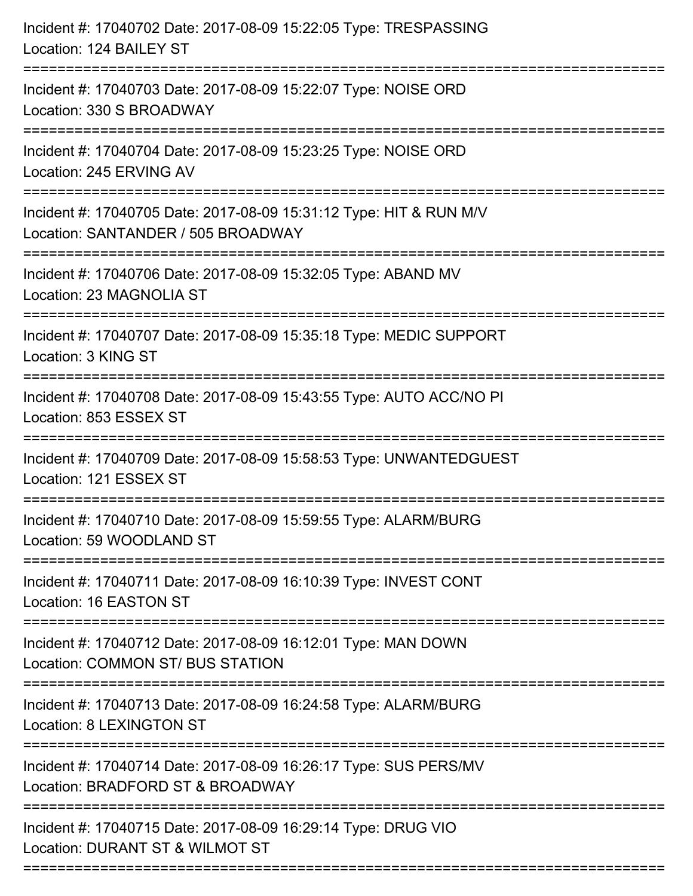| Incident #: 17040702 Date: 2017-08-09 15:22:05 Type: TRESPASSING<br>Location: 124 BAILEY ST                    |
|----------------------------------------------------------------------------------------------------------------|
| Incident #: 17040703 Date: 2017-08-09 15:22:07 Type: NOISE ORD<br>Location: 330 S BROADWAY                     |
| Incident #: 17040704 Date: 2017-08-09 15:23:25 Type: NOISE ORD<br>Location: 245 ERVING AV                      |
| Incident #: 17040705 Date: 2017-08-09 15:31:12 Type: HIT & RUN M/V<br>Location: SANTANDER / 505 BROADWAY       |
| Incident #: 17040706 Date: 2017-08-09 15:32:05 Type: ABAND MV<br>Location: 23 MAGNOLIA ST                      |
| Incident #: 17040707 Date: 2017-08-09 15:35:18 Type: MEDIC SUPPORT<br>Location: 3 KING ST                      |
| Incident #: 17040708 Date: 2017-08-09 15:43:55 Type: AUTO ACC/NO PI<br>Location: 853 ESSEX ST                  |
| Incident #: 17040709 Date: 2017-08-09 15:58:53 Type: UNWANTEDGUEST<br>Location: 121 ESSEX ST                   |
| Incident #: 17040710 Date: 2017-08-09 15:59:55 Type: ALARM/BURG<br>Location: 59 WOODLAND ST                    |
| ================<br>Incident #: 17040711 Date: 2017-08-09 16:10:39 Type: INVEST CONT<br>Location: 16 EASTON ST |
| Incident #: 17040712 Date: 2017-08-09 16:12:01 Type: MAN DOWN<br>Location: COMMON ST/ BUS STATION              |
| Incident #: 17040713 Date: 2017-08-09 16:24:58 Type: ALARM/BURG<br>Location: 8 LEXINGTON ST                    |
| Incident #: 17040714 Date: 2017-08-09 16:26:17 Type: SUS PERS/MV<br>Location: BRADFORD ST & BROADWAY           |
| Incident #: 17040715 Date: 2017-08-09 16:29:14 Type: DRUG VIO<br>Location: DURANT ST & WILMOT ST               |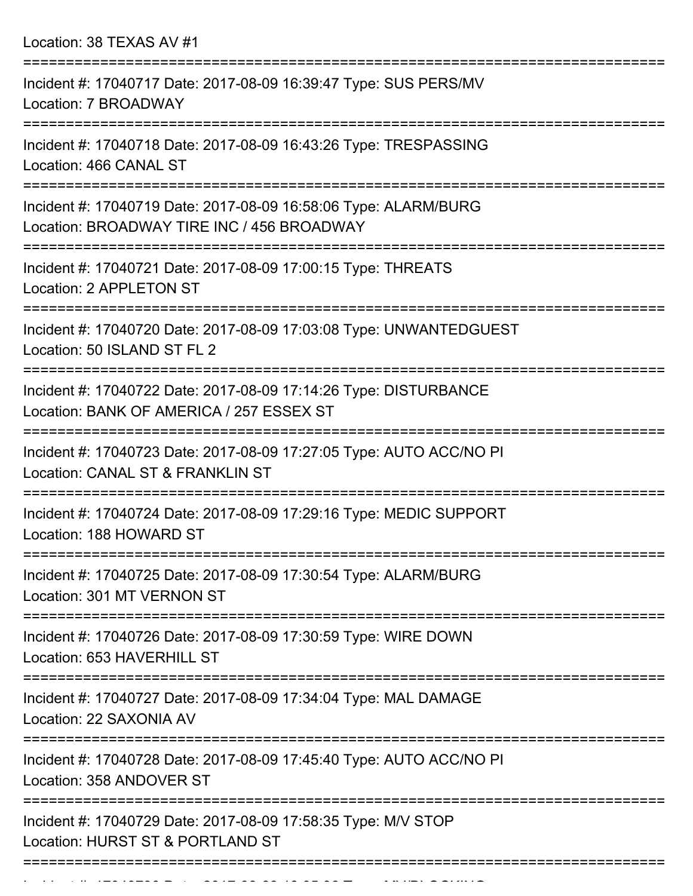Location: 38 TEXAS AV #1

| Incident #: 17040717 Date: 2017-08-09 16:39:47 Type: SUS PERS/MV<br>Location: 7 BROADWAY                      |
|---------------------------------------------------------------------------------------------------------------|
| Incident #: 17040718 Date: 2017-08-09 16:43:26 Type: TRESPASSING<br>Location: 466 CANAL ST                    |
| Incident #: 17040719 Date: 2017-08-09 16:58:06 Type: ALARM/BURG<br>Location: BROADWAY TIRE INC / 456 BROADWAY |
| Incident #: 17040721 Date: 2017-08-09 17:00:15 Type: THREATS<br>Location: 2 APPLETON ST                       |
| Incident #: 17040720 Date: 2017-08-09 17:03:08 Type: UNWANTEDGUEST<br>Location: 50 ISLAND ST FL 2             |
| Incident #: 17040722 Date: 2017-08-09 17:14:26 Type: DISTURBANCE<br>Location: BANK OF AMERICA / 257 ESSEX ST  |
| Incident #: 17040723 Date: 2017-08-09 17:27:05 Type: AUTO ACC/NO PI<br>Location: CANAL ST & FRANKLIN ST       |
| Incident #: 17040724 Date: 2017-08-09 17:29:16 Type: MEDIC SUPPORT<br>Location: 188 HOWARD ST                 |
| Incident #: 17040725 Date: 2017-08-09 17:30:54 Type: ALARM/BURG<br>Location: 301 MT VERNON ST                 |
| Incident #: 17040726 Date: 2017-08-09 17:30:59 Type: WIRE DOWN<br>Location: 653 HAVERHILL ST                  |
| Incident #: 17040727 Date: 2017-08-09 17:34:04 Type: MAL DAMAGE<br>Location: 22 SAXONIA AV                    |
| Incident #: 17040728 Date: 2017-08-09 17:45:40 Type: AUTO ACC/NO PI<br>Location: 358 ANDOVER ST               |
| Incident #: 17040729 Date: 2017-08-09 17:58:35 Type: M/V STOP<br>Location: HURST ST & PORTLAND ST             |
|                                                                                                               |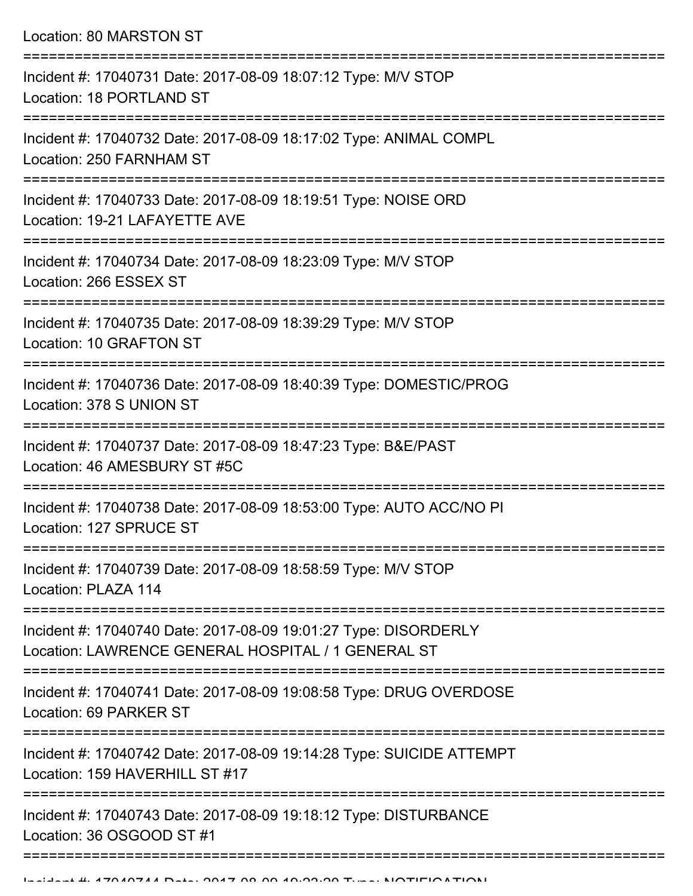Location: 80 MARSTON ST =========================================================================== Incident #: 17040731 Date: 2017-08-09 18:07:12 Type: M/V STOP Location: 18 PORTLAND ST =========================================================================== Incident #: 17040732 Date: 2017-08-09 18:17:02 Type: ANIMAL COMPL Location: 250 FARNHAM ST =========================================================================== Incident #: 17040733 Date: 2017-08-09 18:19:51 Type: NOISE ORD Location: 19-21 LAFAYETTE AVE =========================================================================== Incident #: 17040734 Date: 2017-08-09 18:23:09 Type: M/V STOP Location: 266 ESSEX ST =========================================================================== Incident #: 17040735 Date: 2017-08-09 18:39:29 Type: M/V STOP Location: 10 GRAFTON ST =========================================================================== Incident #: 17040736 Date: 2017-08-09 18:40:39 Type: DOMESTIC/PROG Location: 378 S UNION ST =========================================================================== Incident #: 17040737 Date: 2017-08-09 18:47:23 Type: B&E/PAST Location: 46 AMESBURY ST #5C =========================================================================== Incident #: 17040738 Date: 2017-08-09 18:53:00 Type: AUTO ACC/NO PI Location: 127 SPRUCE ST =========================================================================== Incident #: 17040739 Date: 2017-08-09 18:58:59 Type: M/V STOP Location: PLAZA 114 =========================================================================== Incident #: 17040740 Date: 2017-08-09 19:01:27 Type: DISORDERLY Location: LAWRENCE GENERAL HOSPITAL / 1 GENERAL ST =========================================================================== Incident #: 17040741 Date: 2017-08-09 19:08:58 Type: DRUG OVERDOSE Location: 69 PARKER ST =========================================================================== Incident #: 17040742 Date: 2017-08-09 19:14:28 Type: SUICIDE ATTEMPT Location: 159 HAVERHILL ST #17 =========================================================================== Incident #: 17040743 Date: 2017-08-09 19:18:12 Type: DISTURBANCE Location: 36 OSGOOD ST #1

=============================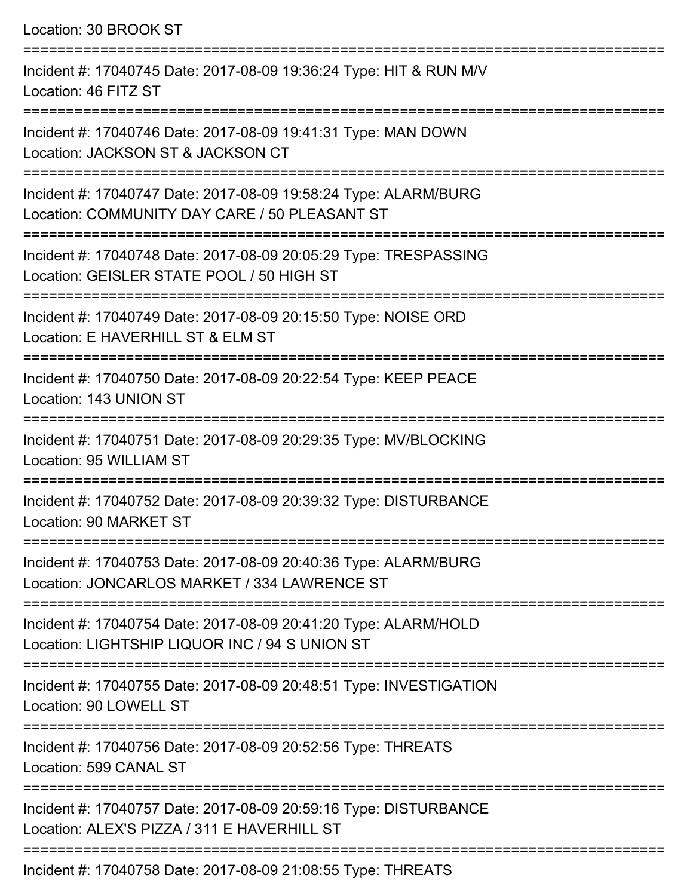Location: 30 BROOK ST =========================================================================== Incident #: 17040745 Date: 2017-08-09 19:36:24 Type: HIT & RUN M/V Location: 46 FITZ ST =========================================================================== Incident #: 17040746 Date: 2017-08-09 19:41:31 Type: MAN DOWN Location: JACKSON ST & JACKSON CT =========================================================================== Incident #: 17040747 Date: 2017-08-09 19:58:24 Type: ALARM/BURG Location: COMMUNITY DAY CARE / 50 PLEASANT ST =========================================================================== Incident #: 17040748 Date: 2017-08-09 20:05:29 Type: TRESPASSING Location: GEISLER STATE POOL / 50 HIGH ST =========================================================================== Incident #: 17040749 Date: 2017-08-09 20:15:50 Type: NOISE ORD Location: E HAVERHILL ST & ELM ST =========================================================================== Incident #: 17040750 Date: 2017-08-09 20:22:54 Type: KEEP PEACE Location: 143 UNION ST =========================================================================== Incident #: 17040751 Date: 2017-08-09 20:29:35 Type: MV/BLOCKING Location: 95 WILLIAM ST =========================================================================== Incident #: 17040752 Date: 2017-08-09 20:39:32 Type: DISTURBANCE Location: 90 MARKET ST =========================================================================== Incident #: 17040753 Date: 2017-08-09 20:40:36 Type: ALARM/BURG Location: JONCARLOS MARKET / 334 LAWRENCE ST =========================================================================== Incident #: 17040754 Date: 2017-08-09 20:41:20 Type: ALARM/HOLD Location: LIGHTSHIP LIQUOR INC / 94 S UNION ST =========================================================================== Incident #: 17040755 Date: 2017-08-09 20:48:51 Type: INVESTIGATION Location: 90 LOWELL ST =========================================================================== Incident #: 17040756 Date: 2017-08-09 20:52:56 Type: THREATS Location: 599 CANAL ST =========================================================================== Incident #: 17040757 Date: 2017-08-09 20:59:16 Type: DISTURBANCE Location: ALEX'S PIZZA / 311 F HAVERHILL ST ===========================================================================

Incident #: 17040758 Date: 2017-08-09 21:08:55 Type: THREATS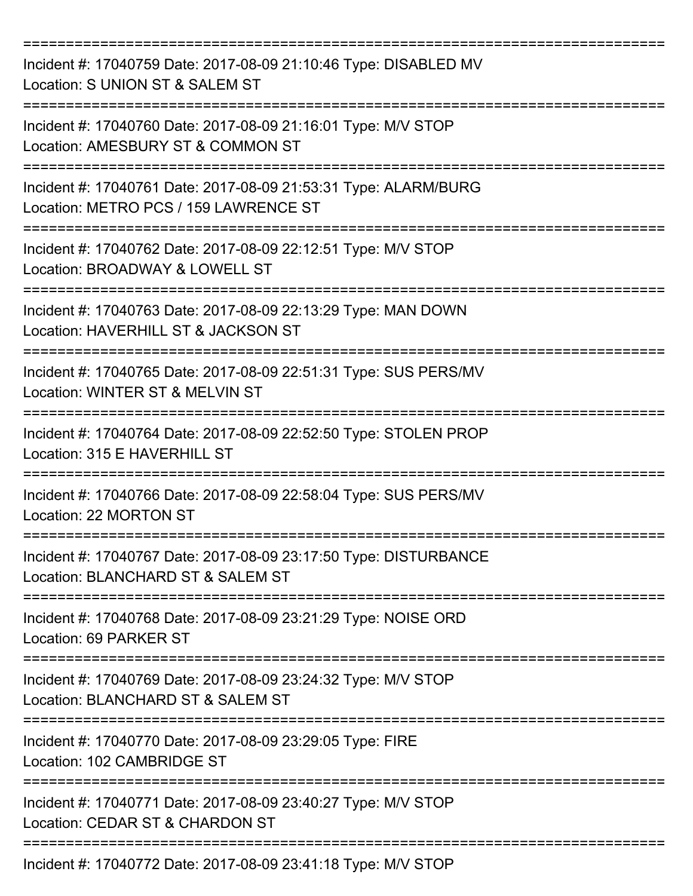| Incident #: 17040759 Date: 2017-08-09 21:10:46 Type: DISABLED MV<br>Location: S UNION ST & SALEM ST      |
|----------------------------------------------------------------------------------------------------------|
| Incident #: 17040760 Date: 2017-08-09 21:16:01 Type: M/V STOP<br>Location: AMESBURY ST & COMMON ST       |
| Incident #: 17040761 Date: 2017-08-09 21:53:31 Type: ALARM/BURG<br>Location: METRO PCS / 159 LAWRENCE ST |
| Incident #: 17040762 Date: 2017-08-09 22:12:51 Type: M/V STOP<br>Location: BROADWAY & LOWELL ST          |
| Incident #: 17040763 Date: 2017-08-09 22:13:29 Type: MAN DOWN<br>Location: HAVERHILL ST & JACKSON ST     |
| Incident #: 17040765 Date: 2017-08-09 22:51:31 Type: SUS PERS/MV<br>Location: WINTER ST & MELVIN ST      |
| Incident #: 17040764 Date: 2017-08-09 22:52:50 Type: STOLEN PROP<br>Location: 315 E HAVERHILL ST         |
| Incident #: 17040766 Date: 2017-08-09 22:58:04 Type: SUS PERS/MV<br>Location: 22 MORTON ST               |
| Incident #: 17040767 Date: 2017-08-09 23:17:50 Type: DISTURBANCE<br>Location: BLANCHARD ST & SALEM ST    |
| Incident #: 17040768 Date: 2017-08-09 23:21:29 Type: NOISE ORD<br>Location: 69 PARKER ST                 |
| Incident #: 17040769 Date: 2017-08-09 23:24:32 Type: M/V STOP<br>Location: BLANCHARD ST & SALEM ST       |
| Incident #: 17040770 Date: 2017-08-09 23:29:05 Type: FIRE<br>Location: 102 CAMBRIDGE ST                  |
| Incident #: 17040771 Date: 2017-08-09 23:40:27 Type: M/V STOP<br>Location: CEDAR ST & CHARDON ST         |
| Incident #: 17040772 Date: 2017-08-09 23:41:18 Type: M/V STOP                                            |